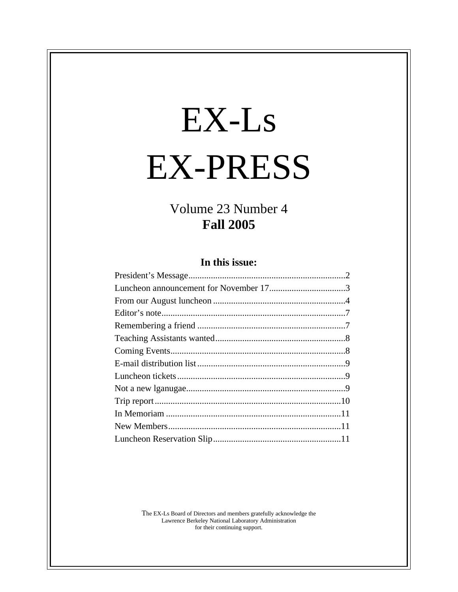# EX-Ls EX-PRESS

# Volume 23 Number 4 **Fall 2005**

# **In this issue:**

The EX-Ls Board of Directors and members gratefully acknowledge the Lawrence Berkeley National Laboratory Administration for their continuing support.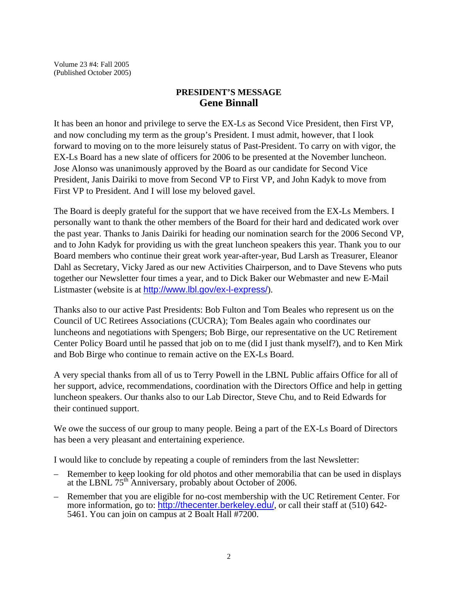Volume 23 #4: Fall 2005 (Published October 2005)

#### **PRESIDENT'S MESSAGE Gene Binnall**

It has been an honor and privilege to serve the EX-Ls as Second Vice President, then First VP, and now concluding my term as the group's President. I must admit, however, that I look forward to moving on to the more leisurely status of Past-President. To carry on with vigor, the EX-Ls Board has a new slate of officers for 2006 to be presented at the November luncheon. Jose Alonso was unanimously approved by the Board as our candidate for Second Vice President, Janis Dairiki to move from Second VP to First VP, and John Kadyk to move from First VP to President. And I will lose my beloved gavel.

The Board is deeply grateful for the support that we have received from the EX-Ls Members. I personally want to thank the other members of the Board for their hard and dedicated work over the past year. Thanks to Janis Dairiki for heading our nomination search for the 2006 Second VP, and to John Kadyk for providing us with the great luncheon speakers this year. Thank you to our Board members who continue their great work year-after-year, Bud Larsh as Treasurer, Eleanor Dahl as Secretary, Vicky Jared as our new Activities Chairperson, and to Dave Stevens who puts together our Newsletter four times a year, and to Dick Baker our Webmaster and new E-Mail Listmaster (website is at http://www.lbl.gov/ex-l-express/).

Thanks also to our active Past Presidents: Bob Fulton and Tom Beales who represent us on the Council of UC Retirees Associations (CUCRA); Tom Beales again who coordinates our luncheons and negotiations with Spengers; Bob Birge, our representative on the UC Retirement Center Policy Board until he passed that job on to me (did I just thank myself?), and to Ken Mirk and Bob Birge who continue to remain active on the EX-Ls Board.

A very special thanks from all of us to Terry Powell in the LBNL Public affairs Office for all of her support, advice, recommendations, coordination with the Directors Office and help in getting luncheon speakers. Our thanks also to our Lab Director, Steve Chu, and to Reid Edwards for their continued support.

We owe the success of our group to many people. Being a part of the EX-Ls Board of Directors has been a very pleasant and entertaining experience.

I would like to conclude by repeating a couple of reminders from the last Newsletter:

- Remember to keep looking for old photos and other memorabilia that can be used in displays at the LBNL  $75<sup>th</sup>$  Anniversary, probably about October of 2006.
- Remember that you are eligible for no-cost membership with the UC Retirement Center. For more information, go to: http://thecenter.berkeley.edu/, or call their staff at (510) 642-5461. You can join on campus at 2 Boalt Hall #7200.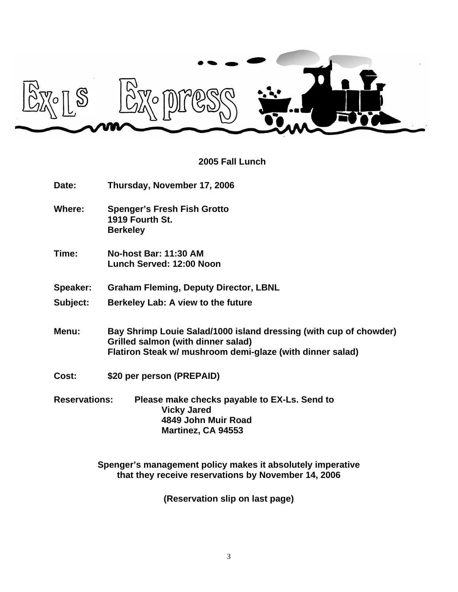

# **2005 Fall Lunch**

| Date:                | Thursday, November 17, 2006                                                                                                                                          |  |
|----------------------|----------------------------------------------------------------------------------------------------------------------------------------------------------------------|--|
| Where:               | <b>Spenger's Fresh Fish Grotto</b><br>1919 Fourth St.<br><b>Berkeley</b>                                                                                             |  |
| Time:                | No-host Bar: 11:30 AM<br>Lunch Served: 12:00 Noon                                                                                                                    |  |
| Speaker:             | <b>Graham Fleming, Deputy Director, LBNL</b>                                                                                                                         |  |
| Subject:             | Berkeley Lab: A view to the future                                                                                                                                   |  |
| Menu:                | Bay Shrimp Louie Salad/1000 island dressing (with cup of chowder)<br>Grilled salmon (with dinner salad)<br>Flatiron Steak w/ mushroom demi-glaze (with dinner salad) |  |
| Cost:                | \$20 per person (PREPAID)                                                                                                                                            |  |
| <b>Reservations:</b> | Please make checks payable to EX-Ls. Send to<br><b>Vicky Jared</b><br>4849 John Muir Road<br>Martinez, CA 94553                                                      |  |

**Spenger's management policy makes it absolutely imperative that they receive reservations by November 14, 2006**

**(Reservation slip on last page)**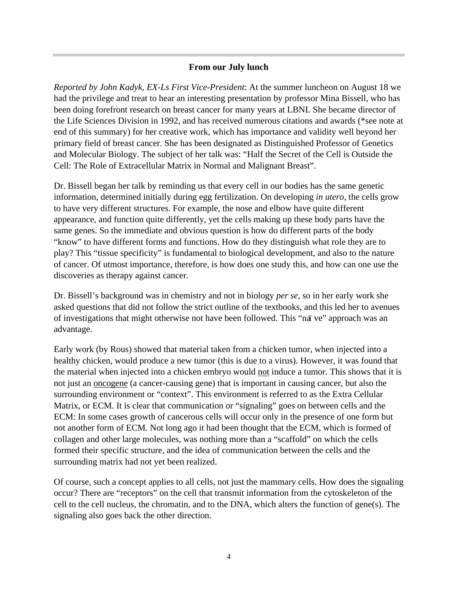#### **From our July lunch**

*Reported by John Kadyk, EX-Ls First Vice-President*: At the summer luncheon on August 18 we had the privilege and treat to hear an interesting presentation by professor Mina Bissell, who has been doing forefront research on breast cancer for many years at LBNL She became director of the Life Sciences Division in 1992, and has received numerous citations and awards (\*see note at end of this summary) for her creative work, which has importance and validity well beyond her primary field of breast cancer. She has been designated as Distinguished Professor of Genetics and Molecular Biology. The subject of her talk was: "Half the Secret of the Cell is Outside the Cell: The Role of Extracellular Matrix in Normal and Malignant Breast".

Dr. Bissell began her talk by reminding us that every cell in our bodies has the same genetic information, determined initially during egg fertilization. On developing *in utero*, the cells grow to have very different structures. For example, the nose and elbow have quite different appearance, and function quite differently, yet the cells making up these body parts have the same genes. So the immediate and obvious question is how do different parts of the body "know" to have different forms and functions. How do they distinguish what role they are to play? This "tissue specificity" is fundamental to biological development, and also to the nature of cancer. Of utmost importance, therefore, is how does one study this, and how can one use the discoveries as therapy against cancer.

Dr. Bissell's background was in chemistry and not in biology *per se,* so in her early work she asked questions that did not follow the strict outline of the textbooks, and this led her to avenues of investigations that might otherwise not have been followed. This "naï ve" approach was an advantage.

Early work (by Rous) showed that material taken from a chicken tumor, when injected into a healthy chicken, would produce a new tumor (this is due to a virus). However, it was found that the material when injected into a chicken embryo would not induce a tumor. This shows that it is not just an oncogene (a cancer-causing gene) that is important in causing cancer, but also the surrounding environment or "context". This environment is referred to as the Extra Cellular Matrix, or ECM. It is clear that communication or "signaling" goes on between cells and the ECM: In some cases growth of cancerous cells will occur only in the presence of one form but not another form of ECM. Not long ago it had been thought that the ECM, which is formed of collagen and other large molecules, was nothing more than a "scaffold" on which the cells formed their specific structure, and the idea of communication between the cells and the surrounding matrix had not yet been realized.

Of course, such a concept applies to all cells, not just the mammary cells. How does the signaling occur? There are "receptors" on the cell that transmit information from the cytoskeleton of the cell to the cell nucleus, the chromatin, and to the DNA, which alters the function of gene(s). The signaling also goes back the other direction.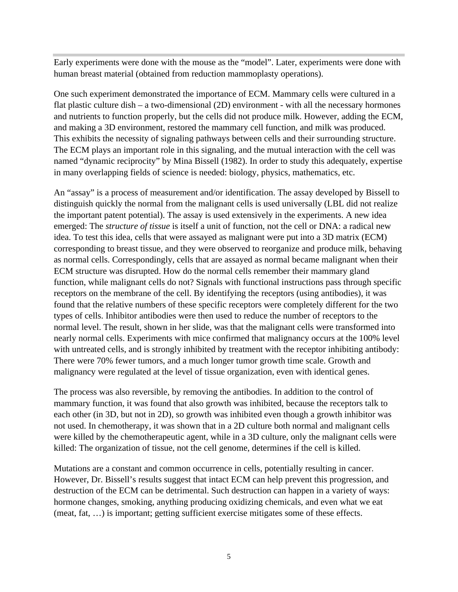Early experiments were done with the mouse as the "model". Later, experiments were done with human breast material (obtained from reduction mammoplasty operations).

One such experiment demonstrated the importance of ECM. Mammary cells were cultured in a flat plastic culture dish – a two-dimensional (2D) environment - with all the necessary hormones and nutrients to function properly, but the cells did not produce milk. However, adding the ECM, and making a 3D environment, restored the mammary cell function, and milk was produced. This exhibits the necessity of signaling pathways between cells and their surrounding structure. The ECM plays an important role in this signaling, and the mutual interaction with the cell was named "dynamic reciprocity" by Mina Bissell (1982). In order to study this adequately, expertise in many overlapping fields of science is needed: biology, physics, mathematics, etc.

An "assay" is a process of measurement and/or identification. The assay developed by Bissell to distinguish quickly the normal from the malignant cells is used universally (LBL did not realize the important patent potential). The assay is used extensively in the experiments. A new idea emerged: The *structure of tissue* is itself a unit of function, not the cell or DNA: a radical new idea. To test this idea, cells that were assayed as malignant were put into a 3D matrix (ECM) corresponding to breast tissue, and they were observed to reorganize and produce milk, behaving as normal cells. Correspondingly, cells that are assayed as normal became malignant when their ECM structure was disrupted. How do the normal cells remember their mammary gland function, while malignant cells do not? Signals with functional instructions pass through specific receptors on the membrane of the cell. By identifying the receptors (using antibodies), it was found that the relative numbers of these specific receptors were completely different for the two types of cells. Inhibitor antibodies were then used to reduce the number of receptors to the normal level. The result, shown in her slide, was that the malignant cells were transformed into nearly normal cells. Experiments with mice confirmed that malignancy occurs at the 100% level with untreated cells, and is strongly inhibited by treatment with the receptor inhibiting antibody: There were 70% fewer tumors, and a much longer tumor growth time scale. Growth and malignancy were regulated at the level of tissue organization, even with identical genes.

The process was also reversible, by removing the antibodies. In addition to the control of mammary function, it was found that also growth was inhibited, because the receptors talk to each other (in 3D, but not in 2D), so growth was inhibited even though a growth inhibitor was not used. In chemotherapy, it was shown that in a 2D culture both normal and malignant cells were killed by the chemotherapeutic agent, while in a 3D culture, only the malignant cells were killed: The organization of tissue, not the cell genome, determines if the cell is killed.

Mutations are a constant and common occurrence in cells, potentially resulting in cancer. However, Dr. Bissell's results suggest that intact ECM can help prevent this progression, and destruction of the ECM can be detrimental. Such destruction can happen in a variety of ways: hormone changes, smoking, anything producing oxidizing chemicals, and even what we eat (meat, fat, …) is important; getting sufficient exercise mitigates some of these effects.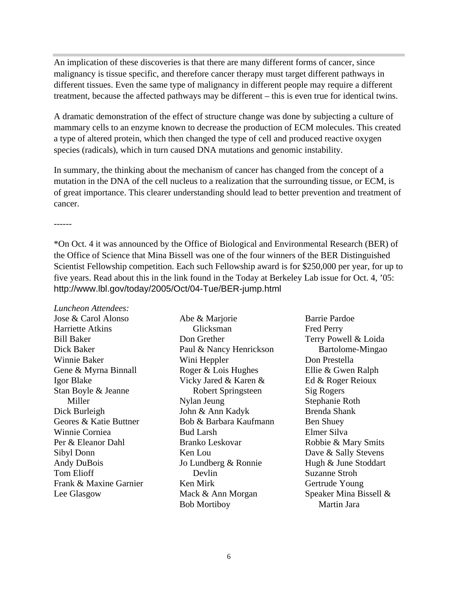An implication of these discoveries is that there are many different forms of cancer, since malignancy is tissue specific, and therefore cancer therapy must target different pathways in different tissues. Even the same type of malignancy in different people may require a different treatment, because the affected pathways may be different – this is even true for identical twins.

A dramatic demonstration of the effect of structure change was done by subjecting a culture of mammary cells to an enzyme known to decrease the production of ECM molecules. This created a type of altered protein, which then changed the type of cell and produced reactive oxygen species (radicals), which in turn caused DNA mutations and genomic instability.

In summary, the thinking about the mechanism of cancer has changed from the concept of a mutation in the DNA of the cell nucleus to a realization that the surrounding tissue, or ECM, is of great importance. This clearer understanding should lead to better prevention and treatment of cancer.

\*On Oct. 4 it was announced by the Office of Biological and Environmental Research (BER) of the Office of Science that Mina Bissell was one of the four winners of the BER Distinguished Scientist Fellowship competition. Each such Fellowship award is for \$250,000 per year, for up to five years. Read about this in the link found in the Today at Berkeley Lab issue for Oct. 4, '05: http://www.lbl.gov/today/2005/Oct/04-Tue/BER-jump.html

*Luncheon Attendees:* Jose & Carol Alonso

Harriette Atkins Bill Baker Dick Baker Winnie Baker Gene & Myrna Binnall Igor Blake Stan Boyle & Jeanne Miller Dick Burleigh Geores & Katie Buttner Winnie Corniea Per & Eleanor Dahl Sibyl Donn Andy DuBois Tom Elioff Frank & Maxine Garnier Lee Glasgow

Abe & Marjorie Glicksman Don Grether Paul & Nancy Henrickson Wini Heppler Roger & Lois Hughes Vicky Jared & Karen & Robert Springsteen Nylan Jeung John & Ann Kadyk Bob & Barbara Kaufmann Bud Larsh Branko Leskovar Ken Lou Jo Lundberg & Ronnie Devlin Ken Mirk Mack & Ann Morgan Bob Mortiboy

Barrie Pardoe Fred Perry Terry Powell & Loida Bartolome-Mingao Don Prestella Ellie & Gwen Ralph Ed & Roger Reioux Sig Rogers Stephanie Roth Brenda Shank Ben Shuey Elmer Silva Robbie & Mary Smits Dave & Sally Stevens Hugh & June Stoddart Suzanne Stroh Gertrude Young Speaker Mina Bissell & Martin Jara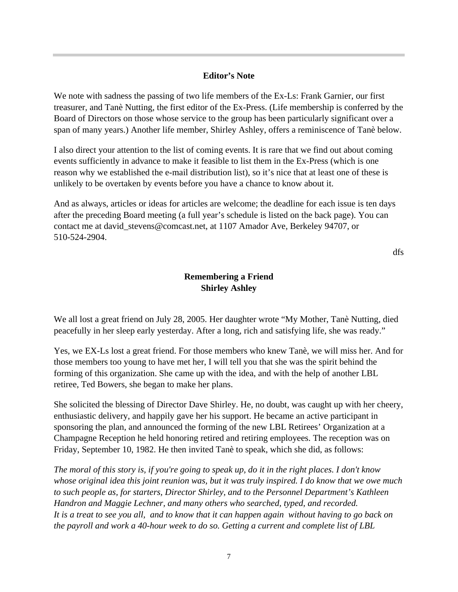#### **Editor's Note**

We note with sadness the passing of two life members of the Ex-Ls: Frank Garnier, our first treasurer, and Tanè Nutting, the first editor of the Ex-Press. (Life membership is conferred by the Board of Directors on those whose service to the group has been particularly significant over a span of many years.) Another life member, Shirley Ashley, offers a reminiscence of Tanè below.

I also direct your attention to the list of coming events. It is rare that we find out about coming events sufficiently in advance to make it feasible to list them in the Ex-Press (which is one reason why we established the e-mail distribution list), so it's nice that at least one of these is unlikely to be overtaken by events before you have a chance to know about it.

And as always, articles or ideas for articles are welcome; the deadline for each issue is ten days after the preceding Board meeting (a full year's schedule is listed on the back page). You can contact me at david\_stevens@comcast.net, at 1107 Amador Ave, Berkeley 94707, or 510-524-2904.

dfs

### **Remembering a Friend Shirley Ashley**

We all lost a great friend on July 28, 2005. Her daughter wrote "My Mother, Tanè Nutting, died peacefully in her sleep early yesterday. After a long, rich and satisfying life, she was ready."

Yes, we EX-Ls lost a great friend. For those members who knew Tanè, we will miss her. And for those members too young to have met her, I will tell you that she was the spirit behind the forming of this organization. She came up with the idea, and with the help of another LBL retiree, Ted Bowers, she began to make her plans.

She solicited the blessing of Director Dave Shirley. He, no doubt, was caught up with her cheery, enthusiastic delivery, and happily gave her his support. He became an active participant in sponsoring the plan, and announced the forming of the new LBL Retirees' Organization at a Champagne Reception he held honoring retired and retiring employees. The reception was on Friday, September 10, 1982. He then invited Tanè to speak, which she did, as follows:

*The moral of this story is, if you're going to speak up, do it in the right places. I don't know whose original idea this joint reunion was, but it was truly inspired. I do know that we owe much to such people as, for starters, Director Shirley, and to the Personnel Department's Kathleen Handron and Maggie Lechner, and many others who searched, typed, and recorded. It is a treat to see you all, and to know that it can happen again without having to go back on the payroll and work a 40-hour week to do so. Getting a current and complete list of LBL*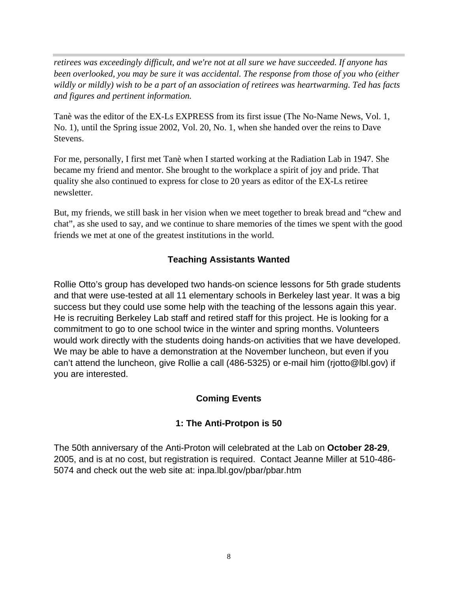*retirees was exceedingly difficult, and we're not at all sure we have succeeded. If anyone has been overlooked, you may be sure it was accidental. The response from those of you who (either wildly or mildly) wish to be a part of an association of retirees was heartwarming. Ted has facts and figures and pertinent information.*

Tanè was the editor of the EX-Ls EXPRESS from its first issue (The No-Name News, Vol. 1, No. 1), until the Spring issue 2002, Vol. 20, No. 1, when she handed over the reins to Dave Stevens.

For me, personally, I first met Tanè when I started working at the Radiation Lab in 1947. She became my friend and mentor. She brought to the workplace a spirit of joy and pride. That quality she also continued to express for close to 20 years as editor of the EX-Ls retiree newsletter.

But, my friends, we still bask in her vision when we meet together to break bread and "chew and chat", as she used to say, and we continue to share memories of the times we spent with the good friends we met at one of the greatest institutions in the world.

## **Teaching Assistants Wanted**

Rollie Otto's group has developed two hands-on science lessons for 5th grade students and that were use-tested at all 11 elementary schools in Berkeley last year. It was a big success but they could use some help with the teaching of the lessons again this year. He is recruiting Berkeley Lab staff and retired staff for this project. He is looking for a commitment to go to one school twice in the winter and spring months. Volunteers would work directly with the students doing hands-on activities that we have developed. We may be able to have a demonstration at the November luncheon, but even if you can't attend the luncheon, give Rollie a call (486-5325) or e-mail him (rjotto@lbl.gov) if you are interested.

#### **Coming Events**

## **1: The Anti-Protpon is 50**

The 50th anniversary of the Anti-Proton will celebrated at the Lab on **October 28-29**, 2005, and is at no cost, but registration is required. Contact Jeanne Miller at 510-486- 5074 and check out the web site at: inpa.lbl.gov/pbar/pbar.htm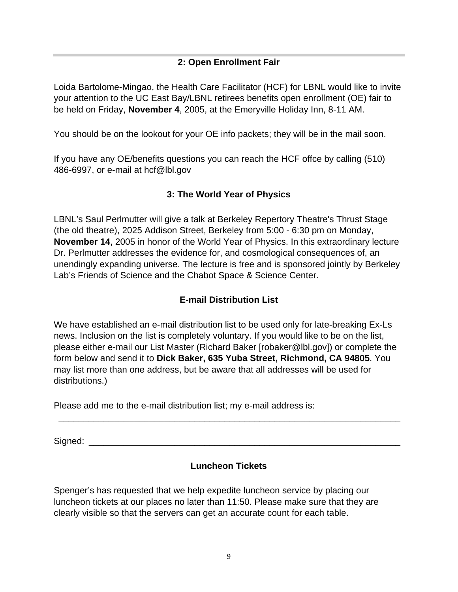## **2: Open Enrollment Fair**

Loida Bartolome-Mingao, the Health Care Facilitator (HCF) for LBNL would like to invite your attention to the UC East Bay/LBNL retirees benefits open enrollment (OE) fair to be held on Friday, **November 4**, 2005, at the Emeryville Holiday Inn, 8-11 AM.

You should be on the lookout for your OE info packets; they will be in the mail soon.

If you have any OE/benefits questions you can reach the HCF offce by calling (510) 486-6997, or e-mail at hcf@lbl.gov

## **3: The World Year of Physics**

LBNL's Saul Perlmutter will give a talk at Berkeley Repertory Theatre's Thrust Stage (the old theatre), 2025 Addison Street, Berkeley from 5:00 - 6:30 pm on Monday, **November 14**, 2005 in honor of the World Year of Physics. In this extraordinary lecture Dr. Perlmutter addresses the evidence for, and cosmological consequences of, an unendingly expanding universe. The lecture is free and is sponsored jointly by Berkeley Lab's Friends of Science and the Chabot Space & Science Center.

## **E-mail Distribution List**

We have established an e-mail distribution list to be used only for late-breaking Ex-Ls news. Inclusion on the list is completely voluntary. If you would like to be on the list, please either e-mail our List Master (Richard Baker [robaker@lbl.gov]) or complete the form below and send it to **Dick Baker, 635 Yuba Street, Richmond, CA 94805**. You may list more than one address, but be aware that all addresses will be used for distributions.)

Please add me to the e-mail distribution list; my e-mail address is:

Signed: \_\_\_\_\_\_\_\_\_\_\_\_\_\_\_\_\_\_\_\_\_\_\_\_\_\_\_\_\_\_\_\_\_\_\_\_\_\_\_\_\_\_\_\_\_\_\_\_\_\_\_\_\_\_\_\_\_\_\_\_\_\_

#### **Luncheon Tickets**

\_\_\_\_\_\_\_\_\_\_\_\_\_\_\_\_\_\_\_\_\_\_\_\_\_\_\_\_\_\_\_\_\_\_\_\_\_\_\_\_\_\_\_\_\_\_\_\_\_\_\_\_\_\_\_\_\_\_\_\_\_\_\_\_\_\_\_\_

Spenger's has requested that we help expedite luncheon service by placing our luncheon tickets at our places no later than 11:50. Please make sure that they are clearly visible so that the servers can get an accurate count for each table.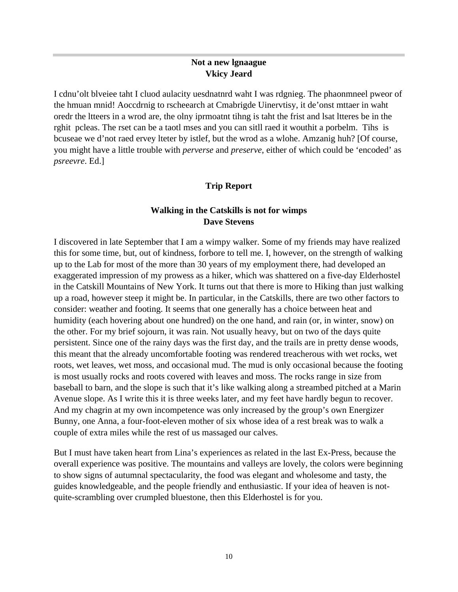#### **Not a new lgnaague Vkicy Jeard**

I cdnu'olt blveiee taht I cluod aulacity uesdnatnrd waht I was rdgnieg. The phaonmneel pweor of the hmuan mnid! Aoccdrnig to rscheearch at Cmabrigde Uinervtisy, it de'onst mttaer in waht oredr the ltteers in a wrod are, the olny iprmoatnt tihng is taht the frist and lsat ltteres be in the rghit pcleas. The rset can be a taotl mses and you can sitll raed it wouthit a porbelm. Tihs is bcuseae we d'not raed ervey lteter by istlef, but the wrod as a wlohe. Amzanig huh? [Of course, you might have a little trouble with *perverse* and *preserve*, either of which could be 'encoded' as *psreevre*. Ed.]

#### **Trip Report**

#### **Walking in the Catskills is not for wimps Dave Stevens**

I discovered in late September that I am a wimpy walker. Some of my friends may have realized this for some time, but, out of kindness, forbore to tell me. I, however, on the strength of walking up to the Lab for most of the more than 30 years of my employment there, had developed an exaggerated impression of my prowess as a hiker, which was shattered on a five-day Elderhostel in the Catskill Mountains of New York. It turns out that there is more to Hiking than just walking up a road, however steep it might be. In particular, in the Catskills, there are two other factors to consider: weather and footing. It seems that one generally has a choice between heat and humidity (each hovering about one hundred) on the one hand, and rain (or, in winter, snow) on the other. For my brief sojourn, it was rain. Not usually heavy, but on two of the days quite persistent. Since one of the rainy days was the first day, and the trails are in pretty dense woods, this meant that the already uncomfortable footing was rendered treacherous with wet rocks, wet roots, wet leaves, wet moss, and occasional mud. The mud is only occasional because the footing is most usually rocks and roots covered with leaves and moss. The rocks range in size from baseball to barn, and the slope is such that it's like walking along a streambed pitched at a Marin Avenue slope. As I write this it is three weeks later, and my feet have hardly begun to recover. And my chagrin at my own incompetence was only increased by the group's own Energizer Bunny, one Anna, a four-foot-eleven mother of six whose idea of a rest break was to walk a couple of extra miles while the rest of us massaged our calves.

But I must have taken heart from Lina's experiences as related in the last Ex-Press, because the overall experience was positive. The mountains and valleys are lovely, the colors were beginning to show signs of autumnal spectacularity, the food was elegant and wholesome and tasty, the guides knowledgeable, and the people friendly and enthusiastic. If your idea of heaven is notquite-scrambling over crumpled bluestone, then this Elderhostel is for you.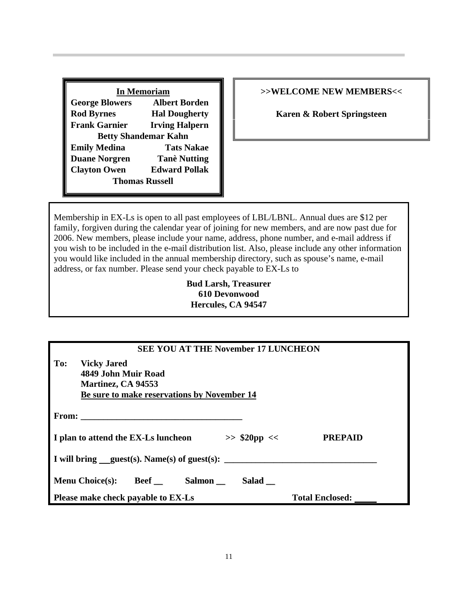| <b>In Memoriam</b>          |                       |  |  |  |
|-----------------------------|-----------------------|--|--|--|
| <b>George Blowers</b>       | <b>Albert Borden</b>  |  |  |  |
| <b>Rod Byrnes</b>           | <b>Hal Dougherty</b>  |  |  |  |
| <b>Frank Garnier</b>        | <b>Irving Halpern</b> |  |  |  |
| <b>Betty Shandemar Kahn</b> |                       |  |  |  |
| <b>Emily Medina</b>         | <b>Tats Nakae</b>     |  |  |  |
| <b>Duane Norgren</b>        | <b>Tanè Nutting</b>   |  |  |  |
| <b>Clayton Owen</b>         | <b>Edward Pollak</b>  |  |  |  |
| <b>Thomas Russell</b>       |                       |  |  |  |

#### **>>WELCOME NEW MEMBERS<<**

**Karen & Robert Springsteen**

Membership in EX-Ls is open to all past employees of LBL/LBNL. Annual dues are \$12 per family, forgiven during the calendar year of joining for new members, and are now past due for 2006. New members, please include your name, address, phone number, and e-mail address if you wish to be included in the e-mail distribution list. Also, please include any other information you would like included in the annual membership directory, such as spouse's name, e-mail address, or fax number. Please send your check payable to EX-Ls to

#### **Bud Larsh, Treasurer 610 Devonwood Hercules, CA 94547**

| <b>SEE YOU AT THE November 17 LUNCHEON</b>                                                                            |                        |  |  |  |  |
|-----------------------------------------------------------------------------------------------------------------------|------------------------|--|--|--|--|
| To:<br><b>Vicky Jared</b><br>4849 John Muir Road<br>Martinez, CA 94553<br>Be sure to make reservations by November 14 |                        |  |  |  |  |
| From: $\qquad \qquad$                                                                                                 |                        |  |  |  |  |
| I plan to attend the EX-Ls luncheon<br>$>>$ \$20pp <<                                                                 | <b>PREPAID</b>         |  |  |  |  |
| I will bring $quest(s)$ . Name(s) of guest(s):                                                                        |                        |  |  |  |  |
| Menu Choice(s): Beef Salmon<br>Salad                                                                                  |                        |  |  |  |  |
| Please make check payable to EX-Ls                                                                                    | <b>Total Enclosed:</b> |  |  |  |  |